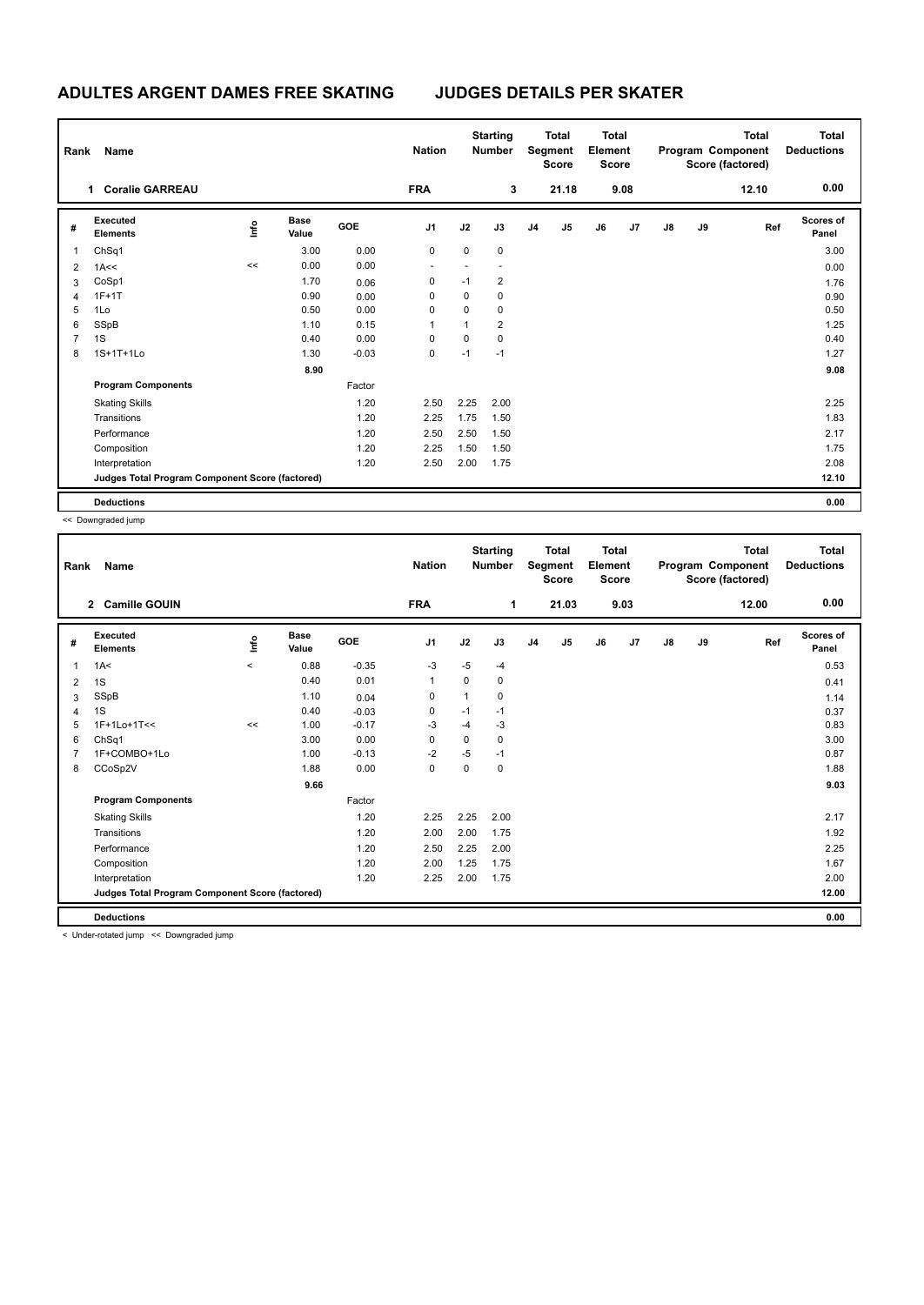## **ADULTES ARGENT DAMES FREE SKATING JUDGES DETAILS PER SKATER**

| Rank           | Name                                            |      |                      |         | <b>Nation</b>  |      | <b>Starting</b><br><b>Number</b> |                | <b>Total</b><br>Segment<br><b>Score</b> | <b>Total</b><br>Element<br><b>Score</b> |      |               |    | <b>Total</b><br>Program Component<br>Score (factored) | <b>Total</b><br><b>Deductions</b> |
|----------------|-------------------------------------------------|------|----------------------|---------|----------------|------|----------------------------------|----------------|-----------------------------------------|-----------------------------------------|------|---------------|----|-------------------------------------------------------|-----------------------------------|
|                | <b>Coralie GARREAU</b><br>1                     |      |                      |         | <b>FRA</b>     |      | 3                                |                | 21.18                                   |                                         | 9.08 |               |    | 12.10                                                 | 0.00                              |
| #              | <b>Executed</b><br><b>Elements</b>              | lnfo | <b>Base</b><br>Value | GOE     | J <sub>1</sub> | J2   | J3                               | J <sub>4</sub> | J5                                      | J6                                      | J7   | $\mathsf{J}8$ | J9 | Ref                                                   | Scores of<br>Panel                |
| 1              | ChSq1                                           |      | 3.00                 | 0.00    | 0              | 0    | $\mathbf 0$                      |                |                                         |                                         |      |               |    |                                                       | 3.00                              |
| 2              | 1A<<                                            | <<   | 0.00                 | 0.00    |                |      |                                  |                |                                         |                                         |      |               |    |                                                       | 0.00                              |
| 3              | CoSp1                                           |      | 1.70                 | 0.06    | 0              | $-1$ | $\overline{2}$                   |                |                                         |                                         |      |               |    |                                                       | 1.76                              |
| 4              | $1F+1T$                                         |      | 0.90                 | 0.00    | 0              | 0    | 0                                |                |                                         |                                         |      |               |    |                                                       | 0.90                              |
| 5              | 1Lo                                             |      | 0.50                 | 0.00    | 0              | 0    | $\mathbf 0$                      |                |                                         |                                         |      |               |    |                                                       | 0.50                              |
| 6              | SSpB                                            |      | 1.10                 | 0.15    | 1              | 1    | $\overline{2}$                   |                |                                         |                                         |      |               |    |                                                       | 1.25                              |
| $\overline{7}$ | 1S                                              |      | 0.40                 | 0.00    | 0              | 0    | $\pmb{0}$                        |                |                                         |                                         |      |               |    |                                                       | 0.40                              |
| 8              | 1S+1T+1Lo                                       |      | 1.30                 | $-0.03$ | 0              | $-1$ | $-1$                             |                |                                         |                                         |      |               |    |                                                       | 1.27                              |
|                |                                                 |      | 8.90                 |         |                |      |                                  |                |                                         |                                         |      |               |    |                                                       | 9.08                              |
|                | <b>Program Components</b>                       |      |                      | Factor  |                |      |                                  |                |                                         |                                         |      |               |    |                                                       |                                   |
|                | <b>Skating Skills</b>                           |      |                      | 1.20    | 2.50           | 2.25 | 2.00                             |                |                                         |                                         |      |               |    |                                                       | 2.25                              |
|                | Transitions                                     |      |                      | 1.20    | 2.25           | 1.75 | 1.50                             |                |                                         |                                         |      |               |    |                                                       | 1.83                              |
|                | Performance                                     |      |                      | 1.20    | 2.50           | 2.50 | 1.50                             |                |                                         |                                         |      |               |    |                                                       | 2.17                              |
|                | Composition                                     |      |                      | 1.20    | 2.25           | 1.50 | 1.50                             |                |                                         |                                         |      |               |    |                                                       | 1.75                              |
|                | Interpretation                                  |      |                      | 1.20    | 2.50           | 2.00 | 1.75                             |                |                                         |                                         |      |               |    |                                                       | 2.08                              |
|                | Judges Total Program Component Score (factored) |      |                      |         |                |      |                                  |                |                                         |                                         |      |               |    |                                                       | 12.10                             |
|                | <b>Deductions</b>                               |      |                      |         |                |      |                                  |                |                                         |                                         |      |               |    |                                                       | 0.00                              |

<< Downgraded jump

| Rank | Name                                            |       |                      |         | <b>Nation</b>  |          | <b>Starting</b><br><b>Number</b> |                | <b>Total</b><br>Segment<br><b>Score</b> | <b>Total</b><br>Element<br><b>Score</b> |      |               |    | <b>Total</b><br>Program Component<br>Score (factored) | <b>Total</b><br><b>Deductions</b> |
|------|-------------------------------------------------|-------|----------------------|---------|----------------|----------|----------------------------------|----------------|-----------------------------------------|-----------------------------------------|------|---------------|----|-------------------------------------------------------|-----------------------------------|
|      | <b>Camille GOUIN</b><br>$\mathbf{2}$            |       |                      |         | <b>FRA</b>     |          | 1                                |                | 21.03                                   |                                         | 9.03 |               |    | 12.00                                                 | 0.00                              |
| #    | Executed<br><b>Elements</b>                     | ۴۵    | <b>Base</b><br>Value | GOE     | J <sub>1</sub> | J2       | J3                               | J <sub>4</sub> | J5                                      | J6                                      | J7   | $\mathsf{J}8$ | J9 | Ref                                                   | Scores of<br>Panel                |
| 1    | 1A<                                             | $\,<$ | 0.88                 | $-0.35$ | $-3$           | $-5$     | $-4$                             |                |                                         |                                         |      |               |    |                                                       | 0.53                              |
| 2    | 1S                                              |       | 0.40                 | 0.01    | 1              | $\Omega$ | 0                                |                |                                         |                                         |      |               |    |                                                       | 0.41                              |
| 3    | SSpB                                            |       | 1.10                 | 0.04    | 0              | 1        | 0                                |                |                                         |                                         |      |               |    |                                                       | 1.14                              |
| 4    | 1S                                              |       | 0.40                 | $-0.03$ | 0              | $-1$     | $-1$                             |                |                                         |                                         |      |               |    |                                                       | 0.37                              |
| 5    | 1F+1Lo+1T<<                                     | <<    | 1.00                 | $-0.17$ | -3             | $-4$     | -3                               |                |                                         |                                         |      |               |    |                                                       | 0.83                              |
| 6    | ChSq1                                           |       | 3.00                 | 0.00    | 0              | $\Omega$ | 0                                |                |                                         |                                         |      |               |    |                                                       | 3.00                              |
| 7    | 1F+COMBO+1Lo                                    |       | 1.00                 | $-0.13$ | $-2$           | $-5$     | $-1$                             |                |                                         |                                         |      |               |    |                                                       | 0.87                              |
| 8    | CCoSp2V                                         |       | 1.88                 | 0.00    | 0              | 0        | 0                                |                |                                         |                                         |      |               |    |                                                       | 1.88                              |
|      |                                                 |       | 9.66                 |         |                |          |                                  |                |                                         |                                         |      |               |    |                                                       | 9.03                              |
|      | <b>Program Components</b>                       |       |                      | Factor  |                |          |                                  |                |                                         |                                         |      |               |    |                                                       |                                   |
|      | <b>Skating Skills</b>                           |       |                      | 1.20    | 2.25           | 2.25     | 2.00                             |                |                                         |                                         |      |               |    |                                                       | 2.17                              |
|      | Transitions                                     |       |                      | 1.20    | 2.00           | 2.00     | 1.75                             |                |                                         |                                         |      |               |    |                                                       | 1.92                              |
|      | Performance                                     |       |                      | 1.20    | 2.50           | 2.25     | 2.00                             |                |                                         |                                         |      |               |    |                                                       | 2.25                              |
|      | Composition                                     |       |                      | 1.20    | 2.00           | 1.25     | 1.75                             |                |                                         |                                         |      |               |    |                                                       | 1.67                              |
|      | Interpretation                                  |       |                      | 1.20    | 2.25           | 2.00     | 1.75                             |                |                                         |                                         |      |               |    |                                                       | 2.00                              |
|      | Judges Total Program Component Score (factored) |       |                      |         |                |          |                                  |                |                                         |                                         |      |               |    |                                                       | 12.00                             |
|      | <b>Deductions</b>                               |       |                      |         |                |          |                                  |                |                                         |                                         |      |               |    |                                                       | 0.00                              |
|      | a Heder retated irons are Decomposabed irons    |       |                      |         |                |          |                                  |                |                                         |                                         |      |               |    |                                                       |                                   |

< Under-rotated jump << Downgraded jump